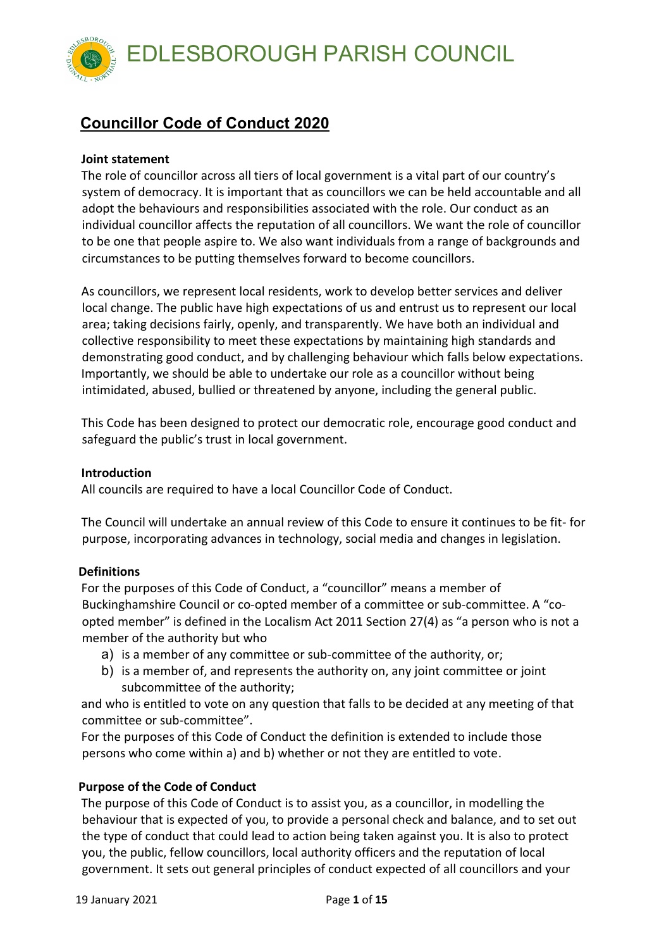EDLESBOROUGH PARISH COUNCIL

# **Councillor Code of Conduct 2020**

### **Joint statement**

The role of councillor across all tiers of local government is a vital part of our country's system of democracy. It is important that as councillors we can be held accountable and all adopt the behaviours and responsibilities associated with the role. Our conduct as an individual councillor affects the reputation of all councillors. We want the role of councillor to be one that people aspire to. We also want individuals from a range of backgrounds and circumstances to be putting themselves forward to become councillors.

As councillors, we represent local residents, work to develop better services and deliver local change. The public have high expectations of us and entrust us to represent our local area; taking decisions fairly, openly, and transparently. We have both an individual and collective responsibility to meet these expectations by maintaining high standards and demonstrating good conduct, and by challenging behaviour which falls below expectations. Importantly, we should be able to undertake our role as a councillor without being intimidated, abused, bullied or threatened by anyone, including the general public.

This Code has been designed to protect our democratic role, encourage good conduct and safeguard the public's trust in local government.

### **Introduction**

All councils are required to have a local Councillor Code of Conduct.

The Council will undertake an annual review of this Code to ensure it continues to be fit- for purpose, incorporating advances in technology, social media and changes in legislation.

### **Definitions**

For the purposes of this Code of Conduct, a "councillor" means a member of Buckinghamshire Council or co-opted member of a committee or sub-committee. A "coopted member" is defined in the Localism Act 2011 Section 27(4) as "a person who is not a member of the authority but who

- a) is a member of any committee or sub-committee of the authority, or;
- b) is a member of, and represents the authority on, any joint committee or joint subcommittee of the authority;

and who is entitled to vote on any question that falls to be decided at any meeting of that committee or sub-committee".

For the purposes of this Code of Conduct the definition is extended to include those persons who come within a) and b) whether or not they are entitled to vote.

### **Purpose of the Code of Conduct**

The purpose of this Code of Conduct is to assist you, as a councillor, in modelling the behaviour that is expected of you, to provide a personal check and balance, and to set out the type of conduct that could lead to action being taken against you. It is also to protect you, the public, fellow councillors, local authority officers and the reputation of local government. It sets out general principles of conduct expected of all councillors and your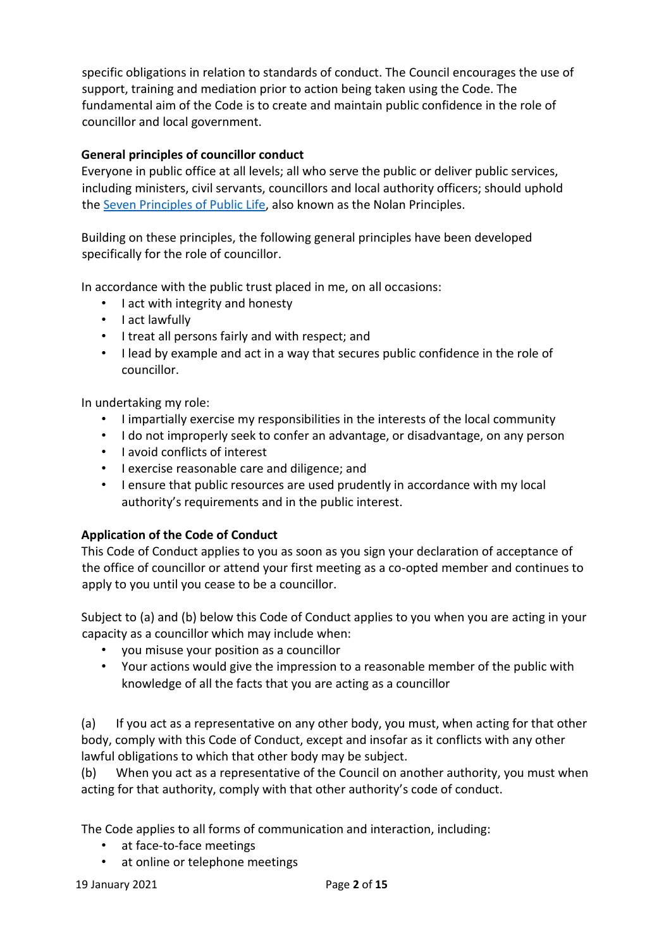specific obligations in relation to standards of conduct. The Council encourages the use of support, training and mediation prior to action being taken using the Code. The fundamental aim of the Code is to create and maintain public confidence in the role of councillor and local government.

## **General principles of councillor conduct**

Everyone in public office at all levels; all who serve the public or deliver public services, including ministers, civil servants, councillors and local authority officers; should uphold the [Seven](https://www.gov.uk/government/publications/the-7-principles-of-public-life/the-7-principles-of-public-life--2) [Principles](https://www.gov.uk/government/publications/the-7-principles-of-public-life/the-7-principles-of-public-life--2) [of](https://www.gov.uk/government/publications/the-7-principles-of-public-life/the-7-principles-of-public-life--2) [Public](https://www.gov.uk/government/publications/the-7-principles-of-public-life/the-7-principles-of-public-life--2) [Life,](https://www.gov.uk/government/publications/the-7-principles-of-public-life/the-7-principles-of-public-life--2) also known as the Nolan Principles.

Building on these principles, the following general principles have been developed specifically for the role of councillor.

In accordance with the public trust placed in me, on all occasions:

- I act with integrity and honesty
- I act lawfully
- I treat all persons fairly and with respect; and
- I lead by example and act in a way that secures public confidence in the role of councillor.

In undertaking my role:

- I impartially exercise my responsibilities in the interests of the local community
- I do not improperly seek to confer an advantage, or disadvantage, on any person
- I avoid conflicts of interest
- I exercise reasonable care and diligence; and
- I ensure that public resources are used prudently in accordance with my local authority's requirements and in the public interest.

## **Application of the Code of Conduct**

This Code of Conduct applies to you as soon as you sign your declaration of acceptance of the office of councillor or attend your first meeting as a co-opted member and continues to apply to you until you cease to be a councillor.

Subject to (a) and (b) below this Code of Conduct applies to you when you are acting in your capacity as a councillor which may include when:

- you misuse your position as a councillor
- Your actions would give the impression to a reasonable member of the public with knowledge of all the facts that you are acting as a councillor

(a) If you act as a representative on any other body, you must, when acting for that other body, comply with this Code of Conduct, except and insofar as it conflicts with any other lawful obligations to which that other body may be subject.

(b) When you act as a representative of the Council on another authority, you must when acting for that authority, comply with that other authority's code of conduct.

The Code applies to all forms of communication and interaction, including:

- at face-to-face meetings
- at online or telephone meetings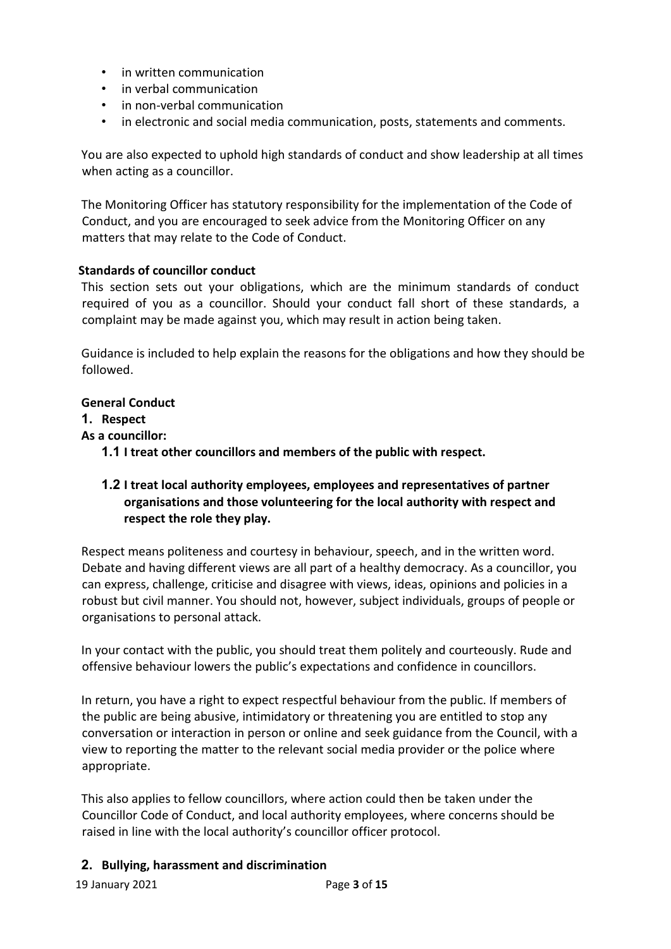- in written communication
- in verbal communication
- in non-verbal communication
- in electronic and social media communication, posts, statements and comments.

You are also expected to uphold high standards of conduct and show leadership at all times when acting as a councillor.

The Monitoring Officer has statutory responsibility for the implementation of the Code of Conduct, and you are encouraged to seek advice from the Monitoring Officer on any matters that may relate to the Code of Conduct.

## **Standards of councillor conduct**

This section sets out your obligations, which are the minimum standards of conduct required of you as a councillor. Should your conduct fall short of these standards, a complaint may be made against you, which may result in action being taken.

Guidance is included to help explain the reasons for the obligations and how they should be followed.

## **General Conduct**

## **1. Respect**

**As a councillor:**

**1.1 I treat other councillors and members of the public with respect.**

## **1.2 I treat local authority employees, employees and representatives of partner organisations and those volunteering for the local authority with respect and respect the role they play.**

Respect means politeness and courtesy in behaviour, speech, and in the written word. Debate and having different views are all part of a healthy democracy. As a councillor, you can express, challenge, criticise and disagree with views, ideas, opinions and policies in a robust but civil manner. You should not, however, subject individuals, groups of people or organisations to personal attack.

In your contact with the public, you should treat them politely and courteously. Rude and offensive behaviour lowers the public's expectations and confidence in councillors.

In return, you have a right to expect respectful behaviour from the public. If members of the public are being abusive, intimidatory or threatening you are entitled to stop any conversation or interaction in person or online and seek guidance from the Council, with a view to reporting the matter to the relevant social media provider or the police where appropriate.

This also applies to fellow councillors, where action could then be taken under the Councillor Code of Conduct, and local authority employees, where concerns should be raised in line with the local authority's councillor officer protocol.

## **2. Bullying, harassment and discrimination**

19 January 2021 Page **3** of **15**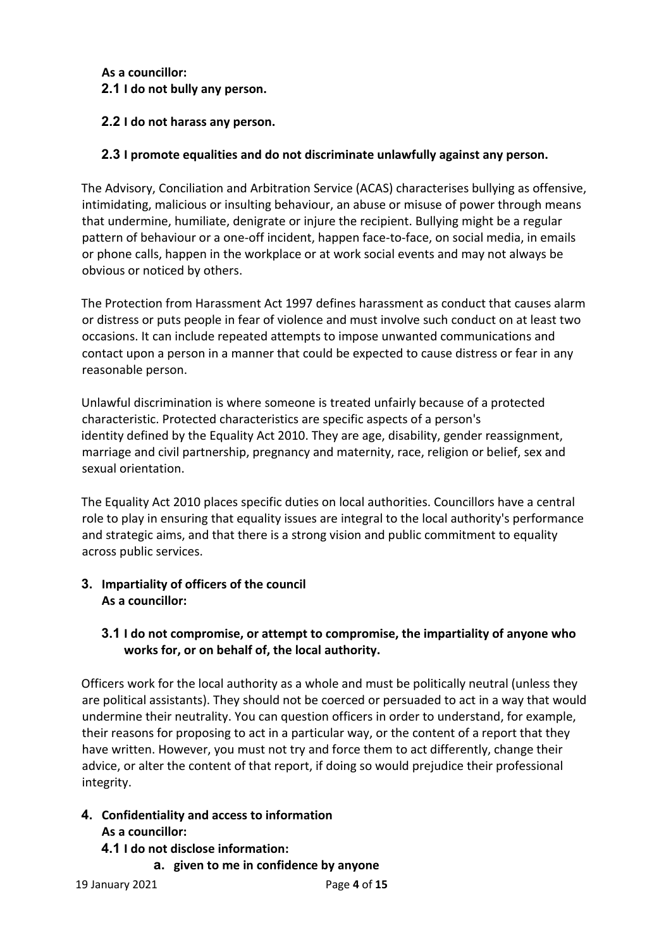### **As a councillor: 2.1 I do not bully any person.**

## **2.2 I do not harass any person.**

## **2.3 I promote equalities and do not discriminate unlawfully against any person.**

The Advisory, Conciliation and Arbitration Service (ACAS) characterises bullying as offensive, intimidating, malicious or insulting behaviour, an abuse or misuse of power through means that undermine, humiliate, denigrate or injure the recipient. Bullying might be a regular pattern of behaviour or a one-off incident, happen face-to-face, on social media, in emails or phone calls, happen in the workplace or at work social events and may not always be obvious or noticed by others.

The Protection from Harassment Act 1997 defines harassment as conduct that causes alarm or distress or puts people in fear of violence and must involve such conduct on at least two occasions. It can include repeated attempts to impose unwanted communications and contact upon a person in a manner that could be expected to cause distress or fear in any reasonable person.

Unlawful discrimination is where someone is treated unfairly because of a protected characteristic. Protected characteristics are specific aspects of a person's identity defined by the Equality Act 2010. They are age, disability, gender reassignment, marriage and civil partnership, pregnancy and maternity, race, religion or belief, sex and sexual orientation.

The Equality Act 2010 places specific duties on local authorities. Councillors have a central role to play in ensuring that equality issues are integral to the local authority's performance and strategic aims, and that there is a strong vision and public commitment to equality across public services.

**3. Impartiality of officers of the council As a councillor:** 

## **3.1 I do not compromise, or attempt to compromise, the impartiality of anyone who works for, or on behalf of, the local authority.**

Officers work for the local authority as a whole and must be politically neutral (unless they are political assistants). They should not be coerced or persuaded to act in a way that would undermine their neutrality. You can question officers in order to understand, for example, their reasons for proposing to act in a particular way, or the content of a report that they have written. However, you must not try and force them to act differently, change their advice, or alter the content of that report, if doing so would prejudice their professional integrity.

- **4. Confidentiality and access to information As a councillor:**
	- **4.1 I do not disclose information:**
		- **a. given to me in confidence by anyone**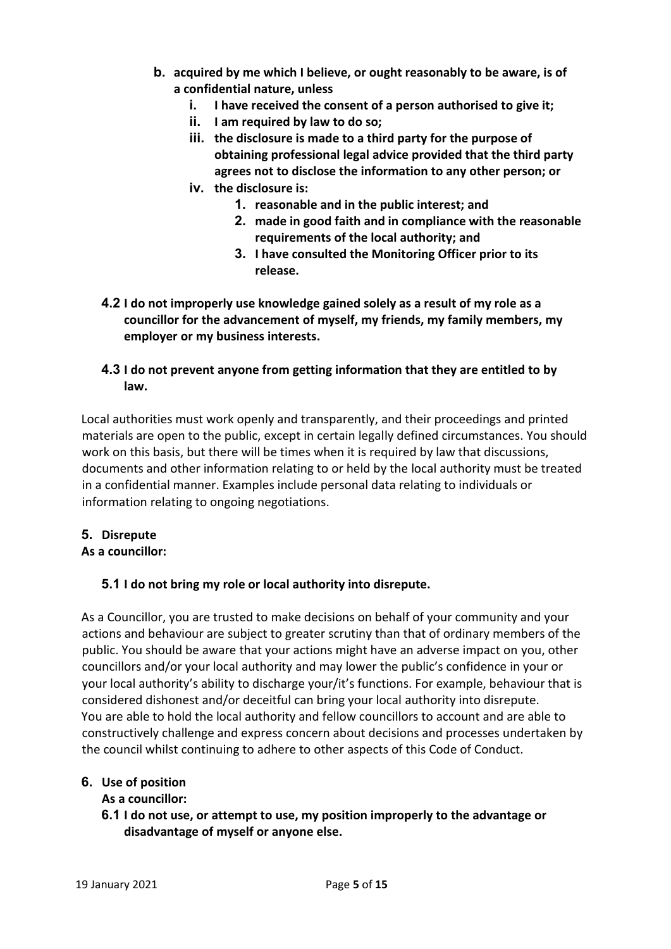- **b. acquired by me which I believe, or ought reasonably to be aware, is of a confidential nature, unless**
	- **i. I have received the consent of a person authorised to give it;**
	- **ii. I am required by law to do so;**
	- **iii. the disclosure is made to a third party for the purpose of obtaining professional legal advice provided that the third party agrees not to disclose the information to any other person; or**
	- **iv. the disclosure is:**
		- **1. reasonable and in the public interest; and**
		- **2. made in good faith and in compliance with the reasonable requirements of the local authority; and**
		- **3. I have consulted the Monitoring Officer prior to its release.**
- **4.2 I do not improperly use knowledge gained solely as a result of my role as a councillor for the advancement of myself, my friends, my family members, my employer or my business interests.**

## **4.3 I do not prevent anyone from getting information that they are entitled to by law.**

Local authorities must work openly and transparently, and their proceedings and printed materials are open to the public, except in certain legally defined circumstances. You should work on this basis, but there will be times when it is required by law that discussions, documents and other information relating to or held by the local authority must be treated in a confidential manner. Examples include personal data relating to individuals or information relating to ongoing negotiations.

## **5. Disrepute**

## **As a councillor:**

## **5.1 I do not bring my role or local authority into disrepute.**

As a Councillor, you are trusted to make decisions on behalf of your community and your actions and behaviour are subject to greater scrutiny than that of ordinary members of the public. You should be aware that your actions might have an adverse impact on you, other councillors and/or your local authority and may lower the public's confidence in your or your local authority's ability to discharge your/it's functions. For example, behaviour that is considered dishonest and/or deceitful can bring your local authority into disrepute. You are able to hold the local authority and fellow councillors to account and are able to constructively challenge and express concern about decisions and processes undertaken by the council whilst continuing to adhere to other aspects of this Code of Conduct.

## **6. Use of position**

## **As a councillor:**

**6.1 I do not use, or attempt to use, my position improperly to the advantage or disadvantage of myself or anyone else.**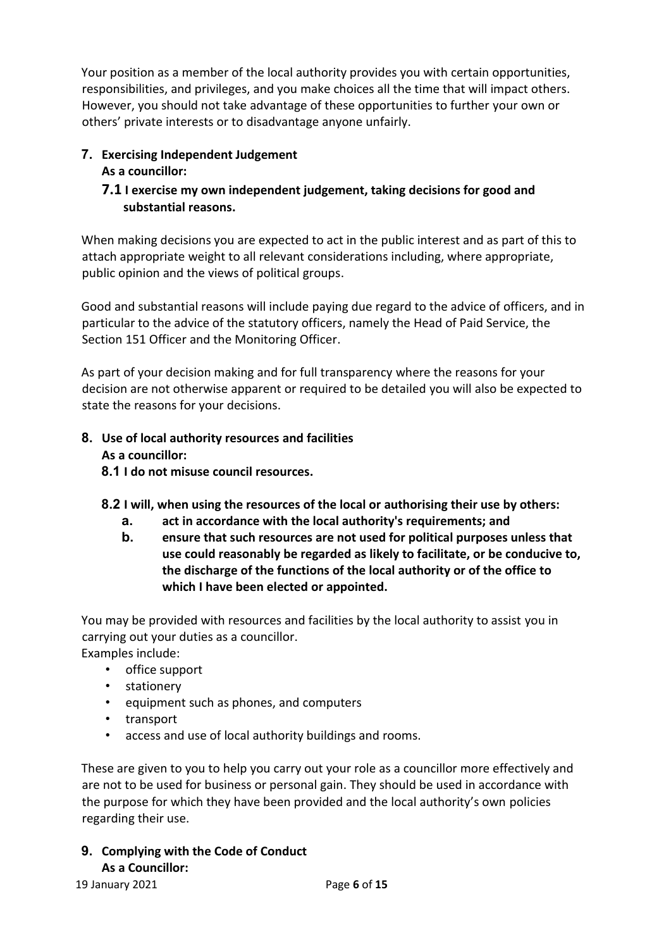Your position as a member of the local authority provides you with certain opportunities, responsibilities, and privileges, and you make choices all the time that will impact others. However, you should not take advantage of these opportunities to further your own or others' private interests or to disadvantage anyone unfairly.

#### **7. Exercising Independent Judgement As a councillor:**

## **7.1 I exercise my own independent judgement, taking decisions for good and substantial reasons.**

When making decisions you are expected to act in the public interest and as part of this to attach appropriate weight to all relevant considerations including, where appropriate, public opinion and the views of political groups.

Good and substantial reasons will include paying due regard to the advice of officers, and in particular to the advice of the statutory officers, namely the Head of Paid Service, the Section 151 Officer and the Monitoring Officer.

As part of your decision making and for full transparency where the reasons for your decision are not otherwise apparent or required to be detailed you will also be expected to state the reasons for your decisions.

## **8. Use of local authority resources and facilities**

**As a councillor:**

- **8.1 I do not misuse council resources.**
- **8.2 I will, when using the resources of the local or authorising their use by others:**
	- **a. act in accordance with the local authority's requirements; and**
	- **b. ensure that such resources are not used for political purposes unless that use could reasonably be regarded as likely to facilitate, or be conducive to, the discharge of the functions of the local authority or of the office to which I have been elected or appointed.**

You may be provided with resources and facilities by the local authority to assist you in carrying out your duties as a councillor. Examples include:

- office support
- stationery
- equipment such as phones, and computers
- transport
- access and use of local authority buildings and rooms.

These are given to you to help you carry out your role as a councillor more effectively and are not to be used for business or personal gain. They should be used in accordance with the purpose for which they have been provided and the local authority's own policies regarding their use.

**9. Complying with the Code of Conduct As a Councillor:**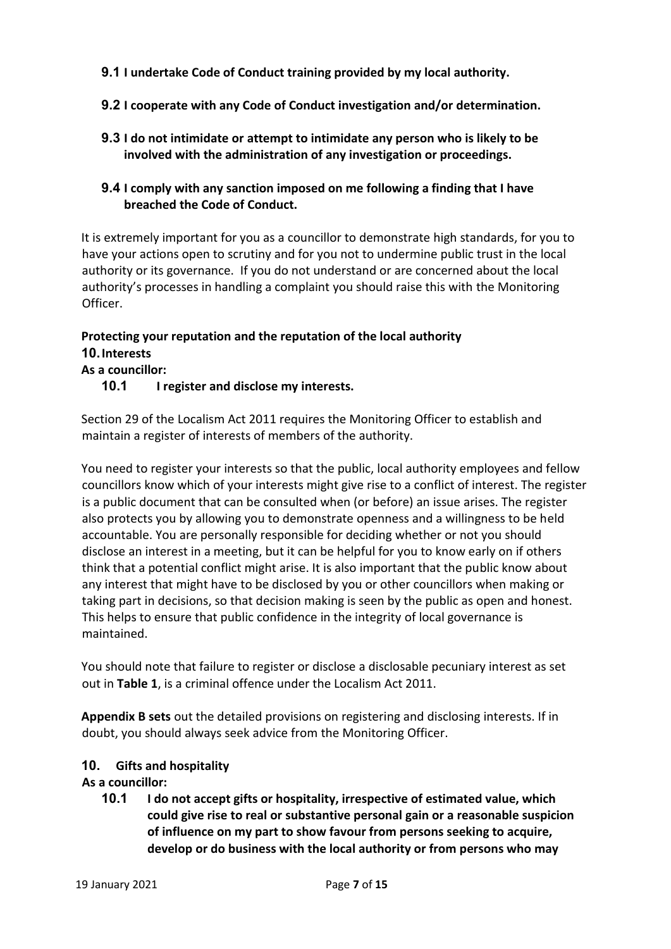- **9.1 I undertake Code of Conduct training provided by my local authority.**
- **9.2 I cooperate with any Code of Conduct investigation and/or determination.**
- **9.3 I do not intimidate or attempt to intimidate any person who is likely to be involved with the administration of any investigation or proceedings.**

## **9.4 I comply with any sanction imposed on me following a finding that I have breached the Code of Conduct.**

It is extremely important for you as a councillor to demonstrate high standards, for you to have your actions open to scrutiny and for you not to undermine public trust in the local authority or its governance. If you do not understand or are concerned about the local authority's processes in handling a complaint you should raise this with the Monitoring Officer.

## **Protecting your reputation and the reputation of the local authority 10.Interests**

**As a councillor:**

**10.1 I register and disclose my interests.**

Section 29 of the Localism Act 2011 requires the Monitoring Officer to establish and maintain a register of interests of members of the authority.

You need to register your interests so that the public, local authority employees and fellow councillors know which of your interests might give rise to a conflict of interest. The register is a public document that can be consulted when (or before) an issue arises. The register also protects you by allowing you to demonstrate openness and a willingness to be held accountable. You are personally responsible for deciding whether or not you should disclose an interest in a meeting, but it can be helpful for you to know early on if others think that a potential conflict might arise. It is also important that the public know about any interest that might have to be disclosed by you or other councillors when making or taking part in decisions, so that decision making is seen by the public as open and honest. This helps to ensure that public confidence in the integrity of local governance is maintained.

You should note that failure to register or disclose a disclosable pecuniary interest as set out in **Table 1**, is a criminal offence under the Localism Act 2011.

**Appendix B sets** out the detailed provisions on registering and disclosing interests. If in doubt, you should always seek advice from the Monitoring Officer.

## **10. Gifts and hospitality**

## **As a councillor:**

**10.1 I do not accept gifts or hospitality, irrespective of estimated value, which could give rise to real or substantive personal gain or a reasonable suspicion of influence on my part to show favour from persons seeking to acquire, develop or do business with the local authority or from persons who may**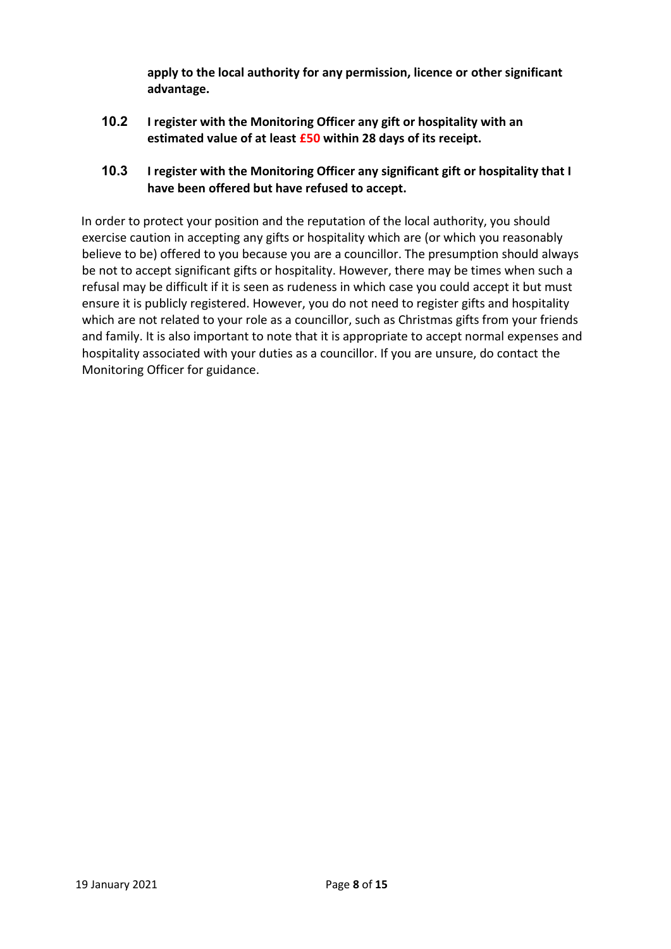**apply to the local authority for any permission, licence or other significant advantage.**

- **10.2 I register with the Monitoring Officer any gift or hospitality with an estimated value of at least £50 within 28 days of its receipt.**
- **10.3 I register with the Monitoring Officer any significant gift or hospitality that I have been offered but have refused to accept.**

In order to protect your position and the reputation of the local authority, you should exercise caution in accepting any gifts or hospitality which are (or which you reasonably believe to be) offered to you because you are a councillor. The presumption should always be not to accept significant gifts or hospitality. However, there may be times when such a refusal may be difficult if it is seen as rudeness in which case you could accept it but must ensure it is publicly registered. However, you do not need to register gifts and hospitality which are not related to your role as a councillor, such as Christmas gifts from your friends and family. It is also important to note that it is appropriate to accept normal expenses and hospitality associated with your duties as a councillor. If you are unsure, do contact the Monitoring Officer for guidance.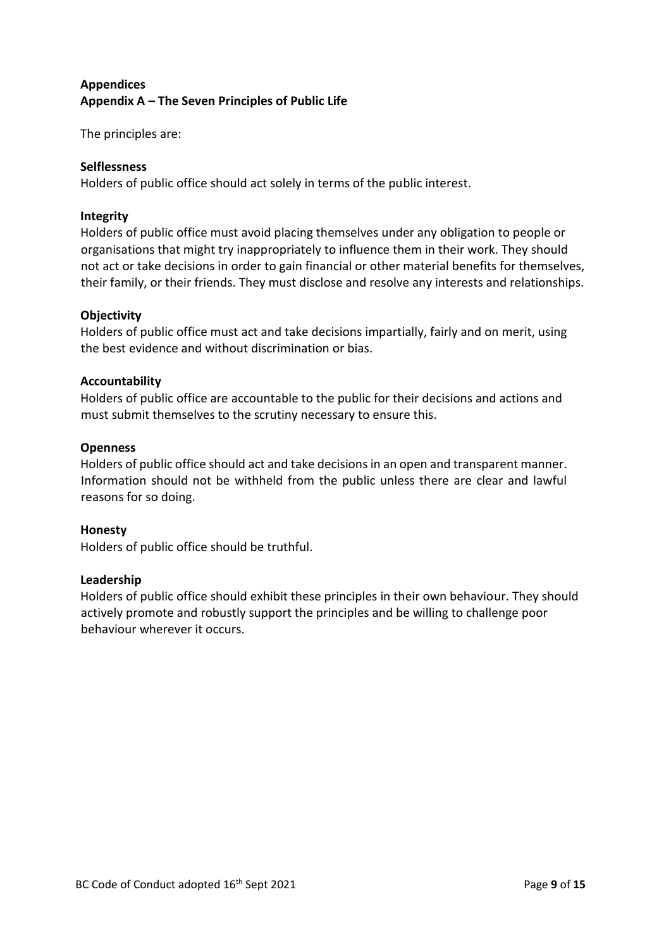## **Appendices Appendix A – The Seven Principles of Public Life**

The principles are:

### **Selflessness**

Holders of public office should act solely in terms of the public interest.

### **Integrity**

Holders of public office must avoid placing themselves under any obligation to people or organisations that might try inappropriately to influence them in their work. They should not act or take decisions in order to gain financial or other material benefits for themselves, their family, or their friends. They must disclose and resolve any interests and relationships.

### **Objectivity**

Holders of public office must act and take decisions impartially, fairly and on merit, using the best evidence and without discrimination or bias.

### **Accountability**

Holders of public office are accountable to the public for their decisions and actions and must submit themselves to the scrutiny necessary to ensure this.

### **Openness**

Holders of public office should act and take decisions in an open and transparent manner. Information should not be withheld from the public unless there are clear and lawful reasons for so doing.

### **Honesty**

Holders of public office should be truthful.

### **Leadership**

Holders of public office should exhibit these principles in their own behaviour. They should actively promote and robustly support the principles and be willing to challenge poor behaviour wherever it occurs.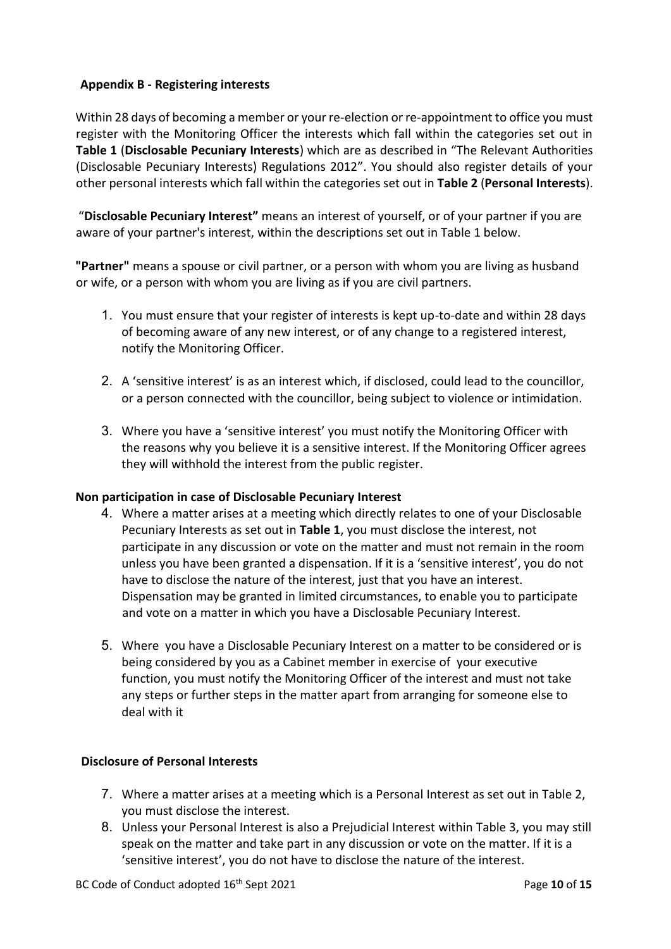### **Appendix B - Registering interests**

Within 28 days of becoming a member or your re-election or re-appointment to office you must register with the Monitoring Officer the interests which fall within the categories set out in **Table 1** (**Disclosable Pecuniary Interests**) which are as described in "The Relevant Authorities (Disclosable Pecuniary Interests) Regulations 2012". You should also register details of your other personal interests which fall within the categories set out in **Table 2** (**Personal Interests**).

"**Disclosable Pecuniary Interest"** means an interest of yourself, or of your partner if you are aware of your partner's interest, within the descriptions set out in Table 1 below.

**"Partner"** means a spouse or civil partner, or a person with whom you are living as husband or wife, or a person with whom you are living as if you are civil partners.

- 1. You must ensure that your register of interests is kept up-to-date and within 28 days of becoming aware of any new interest, or of any change to a registered interest, notify the Monitoring Officer.
- 2. A 'sensitive interest' is as an interest which, if disclosed, could lead to the councillor, or a person connected with the councillor, being subject to violence or intimidation.
- 3. Where you have a 'sensitive interest' you must notify the Monitoring Officer with the reasons why you believe it is a sensitive interest. If the Monitoring Officer agrees they will withhold the interest from the public register.

### **Non participation in case of Disclosable Pecuniary Interest**

- 4. Where a matter arises at a meeting which directly relates to one of your Disclosable Pecuniary Interests as set out in **Table 1**, you must disclose the interest, not participate in any discussion or vote on the matter and must not remain in the room unless you have been granted a dispensation. If it is a 'sensitive interest', you do not have to disclose the nature of the interest, just that you have an interest. Dispensation may be granted in limited circumstances, to enable you to participate and vote on a matter in which you have a Disclosable Pecuniary Interest.
- 5. Where you have a Disclosable Pecuniary Interest on a matter to be considered or is being considered by you as a Cabinet member in exercise of your executive function, you must notify the Monitoring Officer of the interest and must not take any steps or further steps in the matter apart from arranging for someone else to deal with it

#### **Disclosure of Personal Interests**

- 7. Where a matter arises at a meeting which is a Personal Interest as set out in Table 2, you must disclose the interest.
- 8. Unless your Personal Interest is also a Prejudicial Interest within Table 3, you may still speak on the matter and take part in any discussion or vote on the matter. If it is a 'sensitive interest', you do not have to disclose the nature of the interest.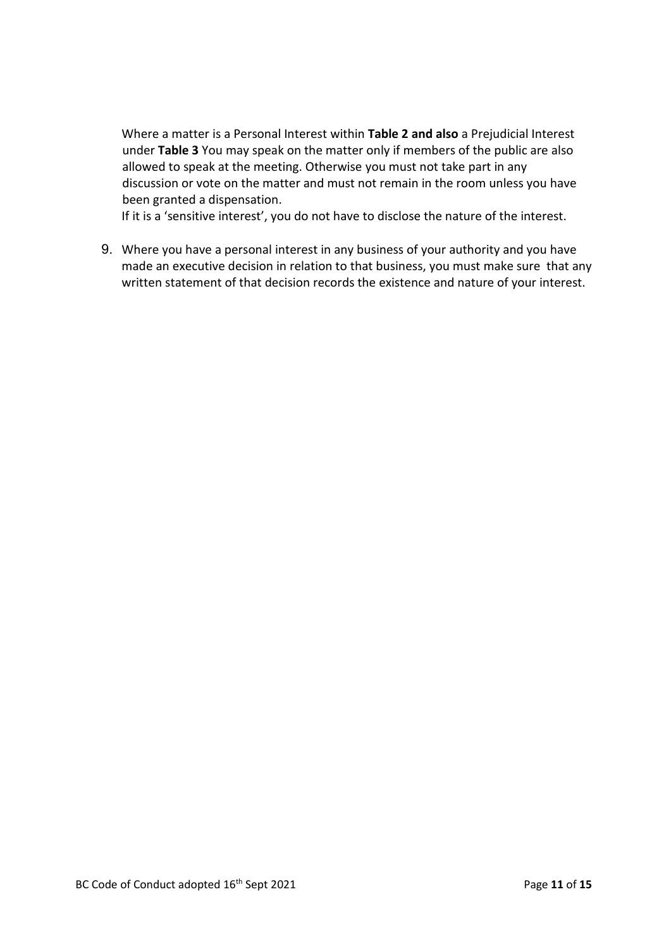Where a matter is a Personal Interest within **Table 2 and also** a Prejudicial Interest under **Table 3** You may speak on the matter only if members of the public are also allowed to speak at the meeting. Otherwise you must not take part in any discussion or vote on the matter and must not remain in the room unless you have been granted a dispensation.

If it is a 'sensitive interest', you do not have to disclose the nature of the interest.

9. Where you have a personal interest in any business of your authority and you have made an executive decision in relation to that business, you must make sure that any written statement of that decision records the existence and nature of your interest.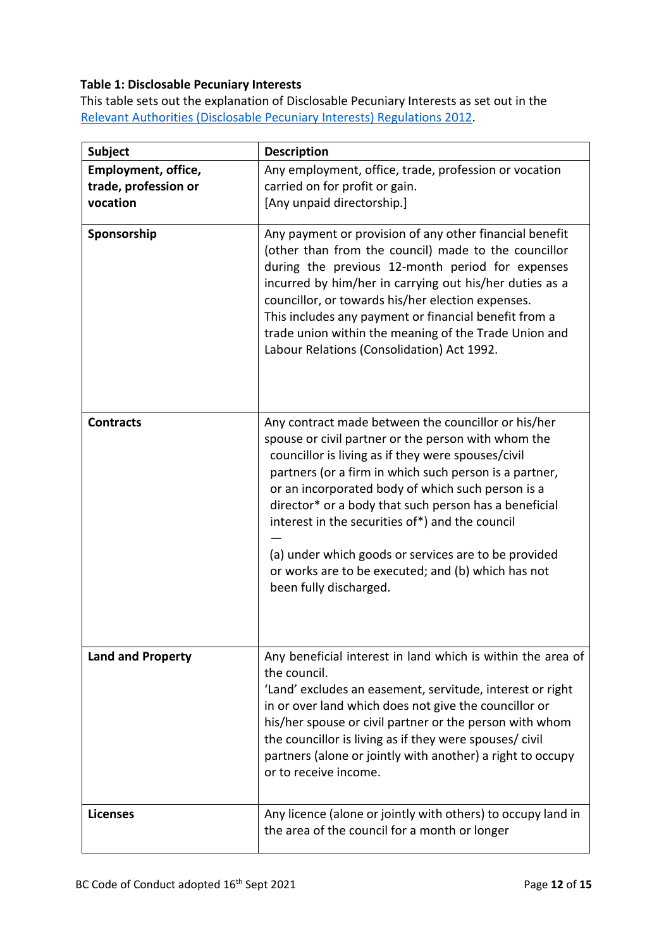## **Table 1: Disclosable Pecuniary Interests**

This table sets out the explanation of Disclosable Pecuniary Interests as set out in the [Relevant](https://www.legislation.gov.uk/uksi/2012/1464/made) [Authorities](https://www.legislation.gov.uk/uksi/2012/1464/made) [\(Disclosable](https://www.legislation.gov.uk/uksi/2012/1464/made) [Pecuniary](https://www.legislation.gov.uk/uksi/2012/1464/made) [Interests\) Regulations](https://www.legislation.gov.uk/uksi/2012/1464/made) [2012.](https://www.legislation.gov.uk/uksi/2012/1464/made)

| <b>Subject</b>                                                 | <b>Description</b>                                                                                                                                                                                                                                                                                                                                                                                                                                                                                                                  |
|----------------------------------------------------------------|-------------------------------------------------------------------------------------------------------------------------------------------------------------------------------------------------------------------------------------------------------------------------------------------------------------------------------------------------------------------------------------------------------------------------------------------------------------------------------------------------------------------------------------|
| <b>Employment, office,</b><br>trade, profession or<br>vocation | Any employment, office, trade, profession or vocation<br>carried on for profit or gain.<br>[Any unpaid directorship.]                                                                                                                                                                                                                                                                                                                                                                                                               |
| Sponsorship                                                    | Any payment or provision of any other financial benefit<br>(other than from the council) made to the councillor<br>during the previous 12-month period for expenses<br>incurred by him/her in carrying out his/her duties as a<br>councillor, or towards his/her election expenses.<br>This includes any payment or financial benefit from a<br>trade union within the meaning of the Trade Union and<br>Labour Relations (Consolidation) Act 1992.                                                                                 |
| <b>Contracts</b>                                               | Any contract made between the councillor or his/her<br>spouse or civil partner or the person with whom the<br>councillor is living as if they were spouses/civil<br>partners (or a firm in which such person is a partner,<br>or an incorporated body of which such person is a<br>director* or a body that such person has a beneficial<br>interest in the securities of*) and the council<br>(a) under which goods or services are to be provided<br>or works are to be executed; and (b) which has not<br>been fully discharged. |
| <b>Land and Property</b>                                       | Any beneficial interest in land which is within the area of<br>the council.<br>'Land' excludes an easement, servitude, interest or right<br>in or over land which does not give the councillor or<br>his/her spouse or civil partner or the person with whom<br>the councillor is living as if they were spouses/ civil<br>partners (alone or jointly with another) a right to occupy<br>or to receive income.                                                                                                                      |
| <b>Licenses</b>                                                | Any licence (alone or jointly with others) to occupy land in<br>the area of the council for a month or longer                                                                                                                                                                                                                                                                                                                                                                                                                       |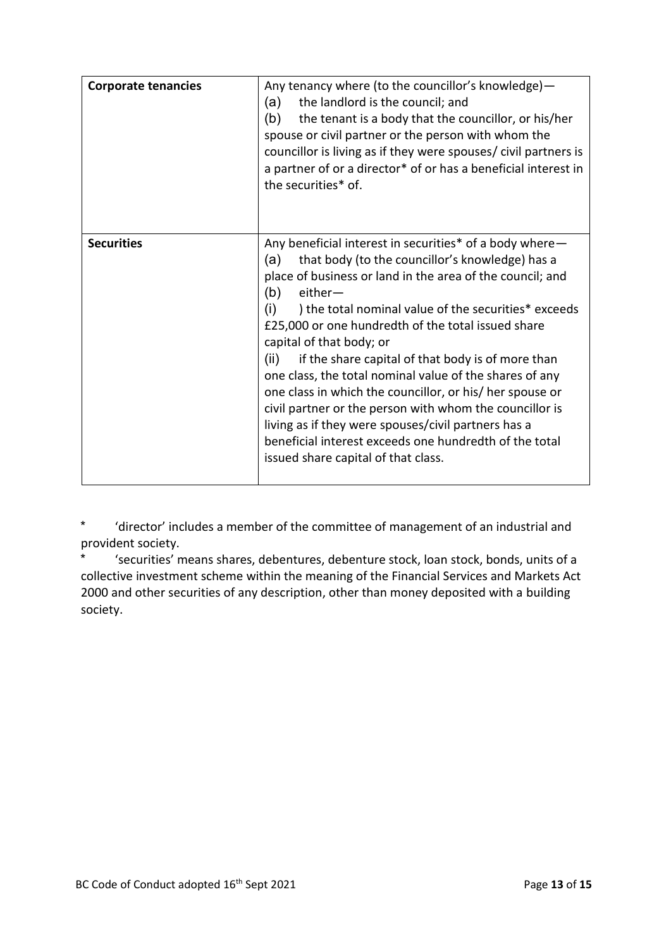| <b>Corporate tenancies</b> | Any tenancy where (to the councillor's knowledge) -<br>the landlord is the council; and<br>(a)<br>(b)<br>the tenant is a body that the councillor, or his/her<br>spouse or civil partner or the person with whom the<br>councillor is living as if they were spouses/ civil partners is<br>a partner of or a director* of or has a beneficial interest in<br>the securities* of.                                                                                                                                                                                                                                                                                                                                                                           |
|----------------------------|------------------------------------------------------------------------------------------------------------------------------------------------------------------------------------------------------------------------------------------------------------------------------------------------------------------------------------------------------------------------------------------------------------------------------------------------------------------------------------------------------------------------------------------------------------------------------------------------------------------------------------------------------------------------------------------------------------------------------------------------------------|
| <b>Securities</b>          | Any beneficial interest in securities* of a body where-<br>(a)<br>that body (to the councillor's knowledge) has a<br>place of business or land in the area of the council; and<br>(b)<br>$either-$<br>) the total nominal value of the securities* exceeds<br>(i)<br>£25,000 or one hundredth of the total issued share<br>capital of that body; or<br>(ii)<br>if the share capital of that body is of more than<br>one class, the total nominal value of the shares of any<br>one class in which the councillor, or his/ her spouse or<br>civil partner or the person with whom the councillor is<br>living as if they were spouses/civil partners has a<br>beneficial interest exceeds one hundredth of the total<br>issued share capital of that class. |

\* 'director' includes a member of the committee of management of an industrial and provident society.

\* 'securities' means shares, debentures, debenture stock, loan stock, bonds, units of a collective investment scheme within the meaning of the Financial Services and Markets Act 2000 and other securities of any description, other than money deposited with a building society.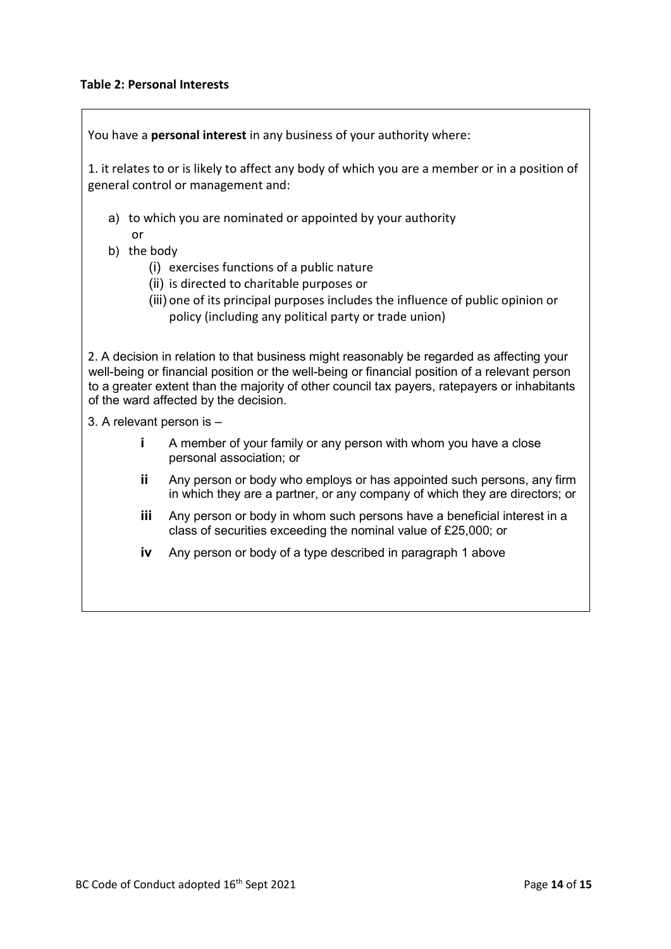## **Table 2: Personal Interests**

|                           | You have a <b>personal interest</b> in any business of your authority where:                                                                                                                                                           |
|---------------------------|----------------------------------------------------------------------------------------------------------------------------------------------------------------------------------------------------------------------------------------|
|                           | 1. it relates to or is likely to affect any body of which you are a member or in a position of<br>general control or management and:                                                                                                   |
| or                        | a) to which you are nominated or appointed by your authority                                                                                                                                                                           |
| b) the body               |                                                                                                                                                                                                                                        |
|                           | (i) exercises functions of a public nature                                                                                                                                                                                             |
|                           | (ii) is directed to charitable purposes or                                                                                                                                                                                             |
|                           | (iii) one of its principal purposes includes the influence of public opinion or<br>policy (including any political party or trade union)                                                                                               |
| 3. A relevant person is - | well-being or financial position or the well-being or financial position of a relevant person<br>to a greater extent than the majority of other council tax payers, ratepayers or inhabitants<br>of the ward affected by the decision. |
| i                         | A member of your family or any person with whom you have a close<br>personal association; or                                                                                                                                           |
| ii.                       | Any person or body who employs or has appointed such persons, any firm<br>in which they are a partner, or any company of which they are directors; or                                                                                  |
| iίi                       | Any person or body in whom such persons have a beneficial interest in a<br>class of securities exceeding the nominal value of £25,000; or                                                                                              |
| İV                        | Any person or body of a type described in paragraph 1 above                                                                                                                                                                            |
|                           |                                                                                                                                                                                                                                        |
|                           |                                                                                                                                                                                                                                        |
|                           |                                                                                                                                                                                                                                        |